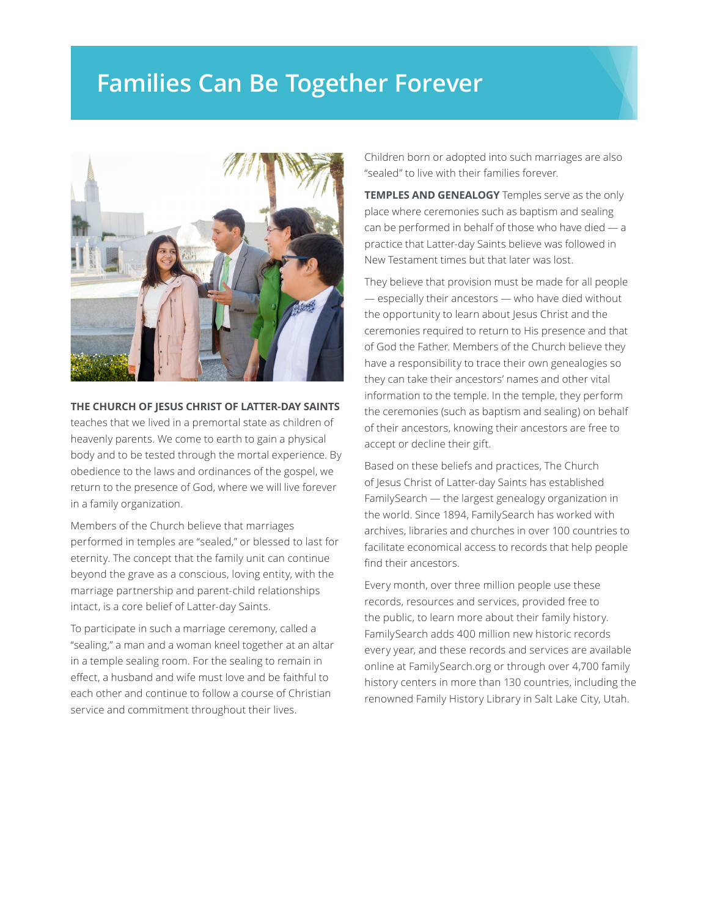## **Families Can Be Together Forever**



## **THE CHURCH OF JESUS CHRIST OF LATTER-DAY SAINTS**

teaches that we lived in a premortal state as children of heavenly parents. We come to earth to gain a physical body and to be tested through the mortal experience. By obedience to the laws and ordinances of the gospel, we return to the presence of God, where we will live forever in a family organization.

Members of the Church believe that marriages performed in temples are "sealed," or blessed to last for eternity. The concept that the family unit can continue beyond the grave as a conscious, loving entity, with the marriage partnership and parent-child relationships intact, is a core belief of Latter-day Saints.

To participate in such a marriage ceremony, called a "sealing," a man and a woman kneel together at an altar in a temple sealing room. For the sealing to remain in effect, a husband and wife must love and be faithful to each other and continue to follow a course of Christian service and commitment throughout their lives.

Children born or adopted into such marriages are also "sealed" to live with their families forever.

**TEMPLES AND GENEALOGY** Temples serve as the only place where ceremonies such as baptism and sealing can be performed in behalf of those who have died  $-$  a practice that Latter-day Saints believe was followed in New Testament times but that later was lost.

They believe that provision must be made for all people — especially their ancestors — who have died without the opportunity to learn about Jesus Christ and the ceremonies required to return to His presence and that of God the Father. Members of the Church believe they have a responsibility to trace their own genealogies so they can take their ancestors' names and other vital information to the temple. In the temple, they perform the ceremonies (such as baptism and sealing) on behalf of their ancestors, knowing their ancestors are free to accept or decline their gift.

Based on these beliefs and practices, The Church of Jesus Christ of Latter-day Saints has established FamilySearch — the largest genealogy organization in the world. Since 1894, FamilySearch has worked with archives, libraries and churches in over 100 countries to facilitate economical access to records that help people find their ancestors.

Every month, over three million people use these records, resources and services, provided free to the public, to learn more about their family history. FamilySearch adds 400 million new historic records every year, and these records and services are available online at FamilySearch.org or through over 4,700 family history centers in more than 130 countries, including the renowned Family History Library in Salt Lake City, Utah.